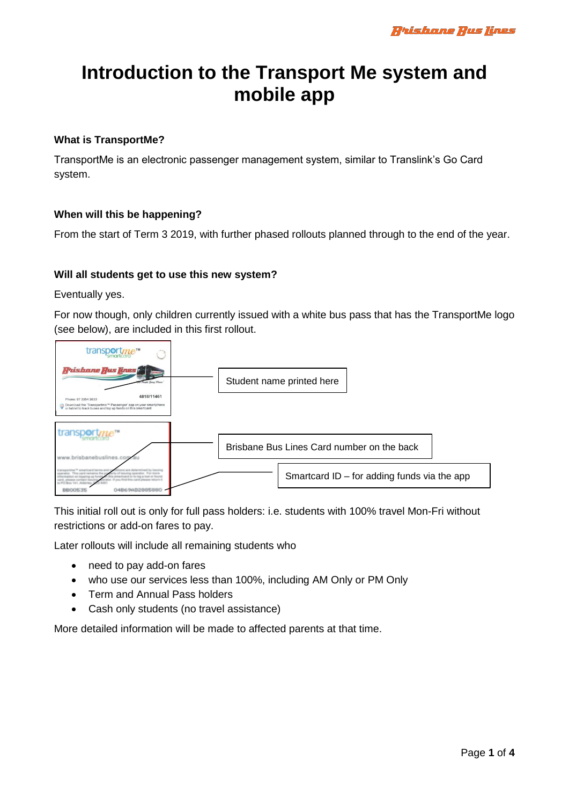# **Introduction to the Transport Me system and mobile app**

## **What is TransportMe?**

TransportMe is an electronic passenger management system, similar to Translink's Go Card system.

## **When will this be happening?**

From the start of Term 3 2019, with further phased rollouts planned through to the end of the year.

## **Will all students get to use this new system?**

Eventually yes.

For now though, only children currently issued with a white bus pass that has the TransportMe logo (see below), are included in this first rollout.



This initial roll out is only for full pass holders: i.e. students with 100% travel Mon-Fri without restrictions or add-on fares to pay.

Later rollouts will include all remaining students who

- need to pay add-on fares
- who use our services less than 100%, including AM Only or PM Only
- Term and Annual Pass holders
- Cash only students (no travel assistance)

More detailed information will be made to affected parents at that time.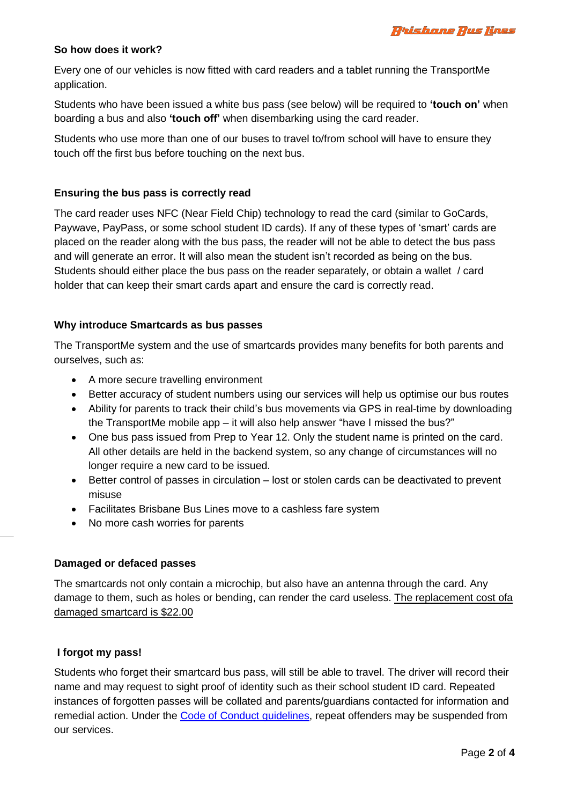

#### **So how does it work?**

Every one of our vehicles is now fitted with card readers and a tablet running the TransportMe application.

Students who have been issued a white bus pass (see below) will be required to **'touch on'** when boarding a bus and also **'touch off'** when disembarking using the card reader.

Students who use more than one of our buses to travel to/from school will have to ensure they touch off the first bus before touching on the next bus.

## **Ensuring the bus pass is correctly read**

The card reader uses NFC (Near Field Chip) technology to read the card (similar to GoCards, Paywave, PayPass, or some school student ID cards). If any of these types of 'smart' cards are placed on the reader along with the bus pass, the reader will not be able to detect the bus pass and will generate an error. It will also mean the student isn't recorded as being on the bus. Students should either place the bus pass on the reader separately, or obtain a wallet / card holder that can keep their smart cards apart and ensure the card is correctly read.

### **Why introduce Smartcards as bus passes**

The TransportMe system and the use of smartcards provides many benefits for both parents and ourselves, such as:

- A more secure travelling environment
- Better accuracy of student numbers using our services will help us optimise our bus routes
- Ability for parents to track their child's bus movements via GPS in real-time by downloading the TransportMe mobile app – it will also help answer "have I missed the bus?"
- One bus pass issued from Prep to Year 12. Only the student name is printed on the card. All other details are held in the backend system, so any change of circumstances will no longer require a new card to be issued.
- Better control of passes in circulation lost or stolen cards can be deactivated to prevent misuse
- Facilitates Brisbane Bus Lines move to a cashless fare system
- No more cash worries for parents

#### **Damaged or defaced passes**

The smartcards not only contain a microchip, but also have an antenna through the card. Any damage to them, such as holes or bending, can render the card useless. The replacement cost ofa damaged smartcard is \$22.00

## **I forgot my pass!**

Students who forget their smartcard bus pass, will still be able to travel. The driver will record their name and may request to sight proof of identity such as their school student ID card. Repeated instances of forgotten passes will be collated and parents/guardians contacted for information and remedial action. Under the [Code of Conduct guidelines,](https://www.brisbanebuslines.com.au/code-conduct) repeat offenders may be suspended from our services.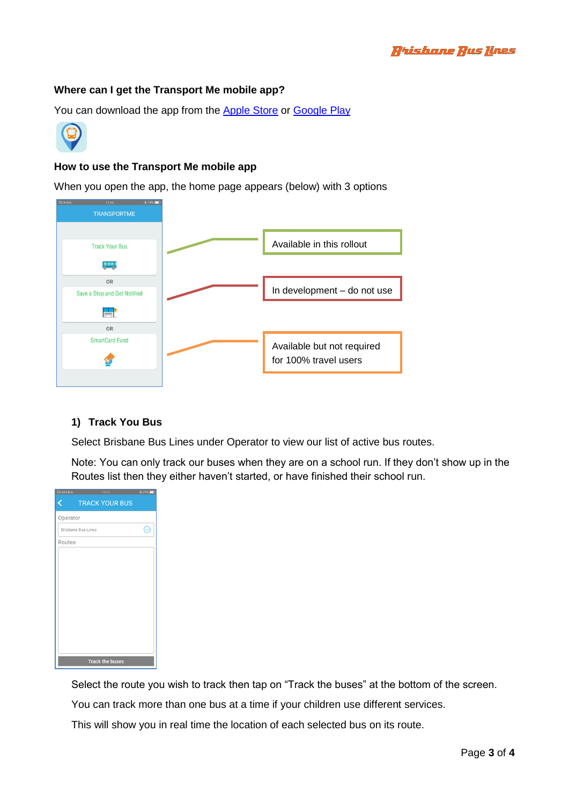## **Where can I get the Transport Me mobile app?**

You can download the app from the [Apple Store](https://apps.apple.com/au/app/transportme-passenger/id1024907105) or [Google Play](https://play.google.com/store/apps/details?id=com.transportmeptyltd.transportmepassenger&hl=en_AU)



# **How to use the Transport Me mobile app**

When you open the app, the home page appears (below) with 3 options



## **1) Track You Bus**

Select Brisbane Bus Lines under Operator to view our list of active bus routes.

Note: You can only track our buses when they are on a school run. If they don't show up in the Routes list then they either haven't started, or have finished their school run.

| 部1 635 B/s                | 11:11                  | <b>*74%■</b> |
|---------------------------|------------------------|--------------|
|                           | <b>TRACK YOUR BUS</b>  |              |
| Operator                  |                        |              |
| <b>Brisbane Bus Lines</b> |                        | (∿           |
| Routes                    |                        |              |
|                           |                        |              |
|                           |                        |              |
|                           |                        |              |
|                           |                        |              |
|                           |                        |              |
|                           |                        |              |
|                           |                        |              |
|                           |                        |              |
|                           |                        |              |
|                           | <b>Track the buses</b> |              |

Select the route you wish to track then tap on "Track the buses" at the bottom of the screen.

You can track more than one bus at a time if your children use different services.

This will show you in real time the location of each selected bus on its route.